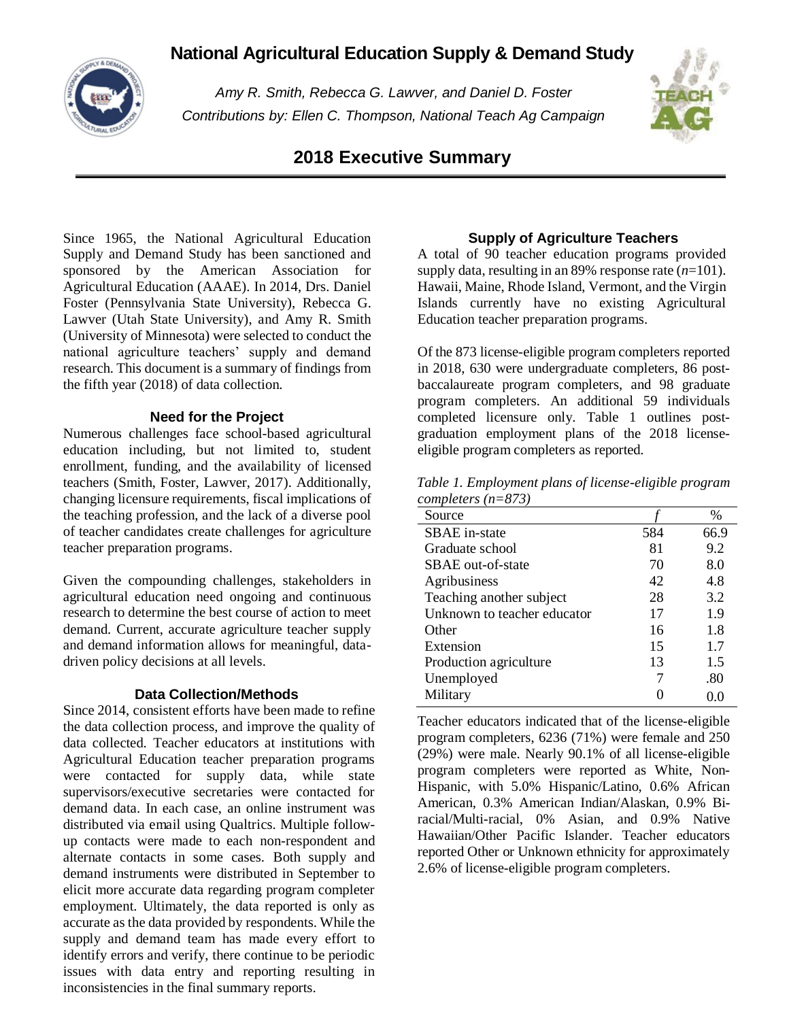# **National Agricultural Education Supply & Demand Study**



*Amy R. Smith, Rebecca G. Lawver, and Daniel D. Foster Contributions by: Ellen C. Thompson, National Teach Ag Campaign*



# **2018 Executive Summary**

Since 1965, the National Agricultural Education Supply and Demand Study has been sanctioned and sponsored by the American Association for Agricultural Education (AAAE). In 2014, Drs. Daniel Foster (Pennsylvania State University), Rebecca G. Lawver (Utah State University), and Amy R. Smith (University of Minnesota) were selected to conduct the national agriculture teachers' supply and demand research. This document is a summary of findings from the fifth year (2018) of data collection.

#### **Need for the Project**

Numerous challenges face school-based agricultural education including, but not limited to, student enrollment, funding, and the availability of licensed teachers (Smith, Foster, Lawver, 2017). Additionally, changing licensure requirements, fiscal implications of the teaching profession, and the lack of a diverse pool of teacher candidates create challenges for agriculture teacher preparation programs.

Given the compounding challenges, stakeholders in agricultural education need ongoing and continuous research to determine the best course of action to meet demand. Current, accurate agriculture teacher supply and demand information allows for meaningful, datadriven policy decisions at all levels.

#### **Data Collection/Methods**

Since 2014, consistent efforts have been made to refine the data collection process, and improve the quality of data collected. Teacher educators at institutions with Agricultural Education teacher preparation programs were contacted for supply data, while state supervisors/executive secretaries were contacted for demand data. In each case, an online instrument was distributed via email using Qualtrics. Multiple followup contacts were made to each non-respondent and alternate contacts in some cases. Both supply and demand instruments were distributed in September to elicit more accurate data regarding program completer employment. Ultimately, the data reported is only as accurate as the data provided by respondents. While the supply and demand team has made every effort to identify errors and verify, there continue to be periodic issues with data entry and reporting resulting in inconsistencies in the final summary reports.

### **Supply of Agriculture Teachers**

A total of 90 teacher education programs provided supply data, resulting in an 89% response rate (*n*=101). Hawaii, Maine, Rhode Island, Vermont, and the Virgin Islands currently have no existing Agricultural Education teacher preparation programs.

Of the 873 license-eligible program completers reported in 2018, 630 were undergraduate completers, 86 postbaccalaureate program completers, and 98 graduate program completers. An additional 59 individuals completed licensure only. Table 1 outlines postgraduation employment plans of the 2018 licenseeligible program completers as reported.

|                      | Table 1. Employment plans of license-eligible program |
|----------------------|-------------------------------------------------------|
| completers $(n=873)$ |                                                       |

| Source                      |     | $\%$ |
|-----------------------------|-----|------|
| SBAE in-state               | 584 | 66.9 |
| Graduate school             | 81  | 9.2  |
| SBAE out-of-state           | 70  | 8.0  |
| Agribusiness                | 42  | 4.8  |
| Teaching another subject    | 28  | 3.2  |
| Unknown to teacher educator | 17  | 1.9  |
| Other                       | 16  | 1.8  |
| Extension                   | 15  | 1.7  |
| Production agriculture      | 13  | 1.5  |
| Unemployed                  |     | .80  |
| Military                    |     |      |
|                             |     |      |

Teacher educators indicated that of the license-eligible program completers, 6236 (71%) were female and 250 (29%) were male. Nearly 90.1% of all license-eligible program completers were reported as White, Non-Hispanic, with 5.0% Hispanic/Latino, 0.6% African American, 0.3% American Indian/Alaskan, 0.9% Biracial/Multi-racial, 0% Asian, and 0.9% Native Hawaiian/Other Pacific Islander. Teacher educators reported Other or Unknown ethnicity for approximately 2.6% of license-eligible program completers.